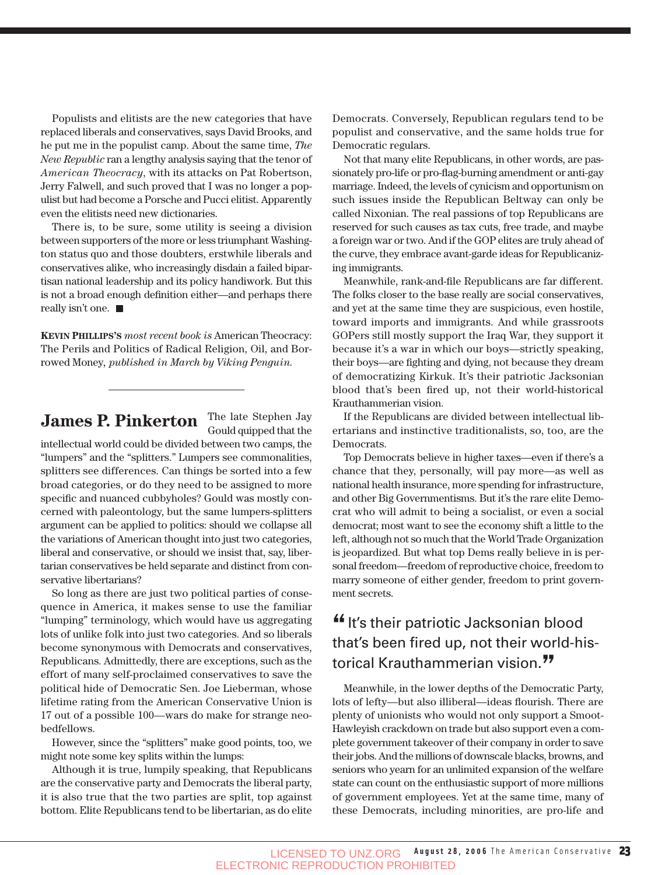Populists and elitists are the new categories that have replaced liberals and conservatives, says David Brooks, and he put me in the populist camp. About the same time, *The New Republic* ran a lengthy analysis saying that the tenor of *American Theocracy*, with its attacks on Pat Robertson, Jerry Falwell, and such proved that I was no longer a populist but had become a Porsche and Pucci elitist. Apparently even the elitists need new dictionaries.

There is, to be sure, some utility is seeing a division between supporters of the more or less triumphant Washington status quo and those doubters, erstwhile liberals and conservatives alike, who increasingly disdain a failed bipartisan national leadership and its policy handiwork. But this is not a broad enough definition either—and perhaps there really isn't one.  $\blacksquare$ 

**KEVIN PHILLIPS'S** *most recent book is* American Theocracy: The Perils and Politics of Radical Religion, Oil, and Borrowed Money*, published in March by Viking Penguin.*

## **James P. Pinkerton** The late Stephen Jay

Gould quipped that the

intellectual world could be divided between two camps, the "lumpers" and the "splitters." Lumpers see commonalities, splitters see differences. Can things be sorted into a few broad categories, or do they need to be assigned to more specific and nuanced cubbyholes? Gould was mostly concerned with paleontology, but the same lumpers-splitters argument can be applied to politics: should we collapse all the variations of American thought into just two categories, liberal and conservative, or should we insist that, say, libertarian conservatives be held separate and distinct from conservative libertarians?

So long as there are just two political parties of consequence in America, it makes sense to use the familiar "lumping" terminology, which would have us aggregating lots of unlike folk into just two categories. And so liberals become synonymous with Democrats and conservatives, Republicans. Admittedly, there are exceptions, such as the effort of many self-proclaimed conservatives to save the political hide of Democratic Sen. Joe Lieberman, whose lifetime rating from the American Conservative Union is 17 out of a possible 100—wars do make for strange neobedfellows.

However, since the "splitters" make good points, too, we might note some key splits within the lumps:

Although it is true, lumpily speaking, that Republicans are the conservative party and Democrats the liberal party, it is also true that the two parties are split, top against bottom. Elite Republicans tend to be libertarian, as do elite

Democrats. Conversely, Republican regulars tend to be populist and conservative, and the same holds true for Democratic regulars.

Not that many elite Republicans, in other words, are passionately pro-life or pro-flag-burning amendment or anti-gay marriage. Indeed, the levels of cynicism and opportunism on such issues inside the Republican Beltway can only be called Nixonian. The real passions of top Republicans are reserved for such causes as tax cuts, free trade, and maybe a foreign war or two. And if the GOP elites are truly ahead of the curve, they embrace avant-garde ideas for Republicanizing immigrants.

Meanwhile, rank-and-file Republicans are far different. The folks closer to the base really are social conservatives, and yet at the same time they are suspicious, even hostile, toward imports and immigrants. And while grassroots GOPers still mostly support the Iraq War, they support it because it's a war in which our boys—strictly speaking, their boys—are fighting and dying, not because they dream of democratizing Kirkuk. It's their patriotic Jacksonian blood that's been fired up, not their world-historical Krauthammerian vision.

If the Republicans are divided between intellectual libertarians and instinctive traditionalists, so, too, are the Democrats.

Top Democrats believe in higher taxes—even if there's a chance that they, personally, will pay more—as well as national health insurance, more spending for infrastructure, and other Big Governmentisms. But it's the rare elite Democrat who will admit to being a socialist, or even a social democrat; most want to see the economy shift a little to the left, although not so much that the World Trade Organization is jeopardized. But what top Dems really believe in is personal freedom—freedom of reproductive choice, freedom to marry someone of either gender, freedom to print government secrets.

## "It's their patriotic Jacksonian blood that's been fired up, not their world-historical Krauthammerian vision.<sup>77</sup>

Meanwhile, in the lower depths of the Democratic Party, lots of lefty—but also illiberal—ideas flourish. There are plenty of unionists who would not only support a Smoot-Hawleyish crackdown on trade but also support even a complete government takeover of their company in order to save their jobs. And the millions of downscale blacks, browns, and seniors who yearn for an unlimited expansion of the welfare state can count on the enthusiastic support of more millions of government employees. Yet at the same time, many of these Democrats, including minorities, are pro-life and